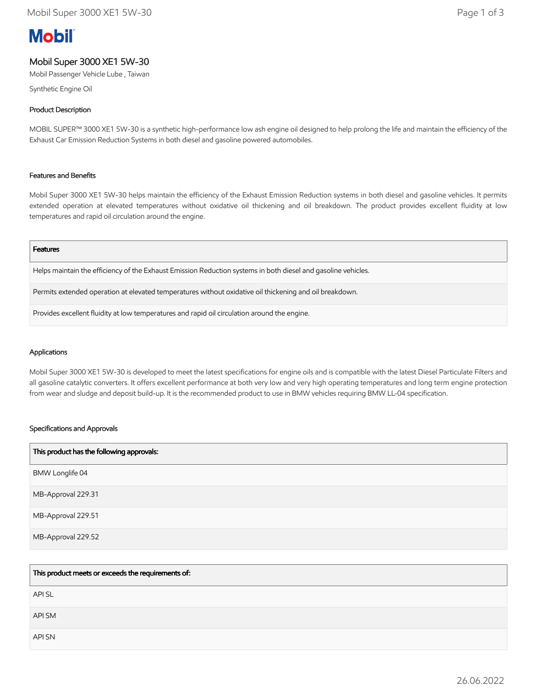# **Mobil**

# Mobil Super 3000 XE1 5W-30

Mobil Passenger Vehicle Lube , Taiwan

Synthetic Engine Oil

# Product Description

MOBIL SUPER™ 3000 XE1 5W-30 is a synthetic high-performance low ash engine oil designed to help prolong the life and maintain the efficiency of the Exhaust Car Emission Reduction Systems in both diesel and gasoline powered automobiles.

# Features and Benefits

Mobil Super 3000 XE1 5W-30 helps maintain the efficiency of the Exhaust Emission Reduction systems in both diesel and gasoline vehicles. It permits extended operation at elevated temperatures without oxidative oil thickening and oil breakdown. The product provides excellent fluidity at low temperatures and rapid oil circulation around the engine.

#### Features

Helps maintain the efficiency of the Exhaust Emission Reduction systems in both diesel and gasoline vehicles.

Permits extended operation at elevated temperatures without oxidative oil thickening and oil breakdown.

Provides excellent fluidity at low temperatures and rapid oil circulation around the engine.

# Applications

Mobil Super 3000 XE1 5W-30 is developed to meet the latest specifications for engine oils and is compatible with the latest Diesel Particulate Filters and all gasoline catalytic converters. It offers excellent performance at both very low and very high operating temperatures and long term engine protection from wear and sludge and deposit build-up. It is the recommended product to use in BMW vehicles requiring BMW LL-04 specification.

# Specifications and Approvals

| This product has the following approvals: |
|-------------------------------------------|
| BMW Longlife 04                           |
| MB-Approval 229.31                        |
| MB-Approval 229.51                        |
| MB-Approval 229.52                        |

| This product meets or exceeds the requirements of: |
|----------------------------------------------------|
| <b>APISL</b>                                       |
| API SM                                             |
| API SN                                             |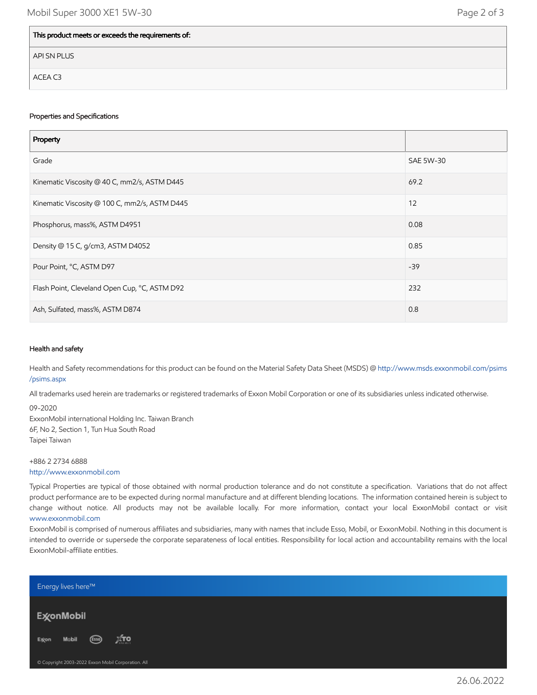| This product meets or exceeds the requirements of: |
|----------------------------------------------------|
| API SN PLUS                                        |
| ACEA C3                                            |

#### Properties and Specifications

| Property                                      |           |
|-----------------------------------------------|-----------|
| Grade                                         | SAE 5W-30 |
| Kinematic Viscosity @ 40 C, mm2/s, ASTM D445  | 69.2      |
| Kinematic Viscosity @ 100 C, mm2/s, ASTM D445 | 12        |
| Phosphorus, mass%, ASTM D4951                 | 0.08      |
| Density @ 15 C, g/cm3, ASTM D4052             | 0.85      |
| Pour Point, °C, ASTM D97                      | $-39$     |
| Flash Point, Cleveland Open Cup, °C, ASTM D92 | 232       |
| Ash, Sulfated, mass%, ASTM D874               | 0.8       |

# Health and safety

Health and Safety recommendations for this product can be found on the Material Safety Data Sheet (MSDS) @ [http://www.msds.exxonmobil.com/psims](http://www.msds.exxonmobil.com/psims/psims.aspx) /psims.aspx

All trademarks used herein are trademarks or registered trademarks of Exxon Mobil Corporation or one of its subsidiaries unless indicated otherwise.

09-2020 ExxonMobil international Holding Inc. Taiwan Branch 6F, No 2, Section 1, Tun Hua South Road Taipei Taiwan

+886 2 2734 6888 [http://www.exxonmobil.com](http://www.exxonmobil.com/)

Typical Properties are typical of those obtained with normal production tolerance and do not constitute a specification. Variations that do not affect product performance are to be expected during normal manufacture and at different blending locations. The information contained herein is subject to change without notice. All products may not be available locally. For more information, contact your local ExxonMobil contact or visit [www.exxonmobil.com](http://www.exxonmobil.com/)

ExxonMobil is comprised of numerous affiliates and subsidiaries, many with names that include Esso, Mobil, or ExxonMobil. Nothing in this document is intended to override or supersede the corporate separateness of local entities. Responsibility for local action and accountability remains with the local ExxonMobil-affiliate entities.